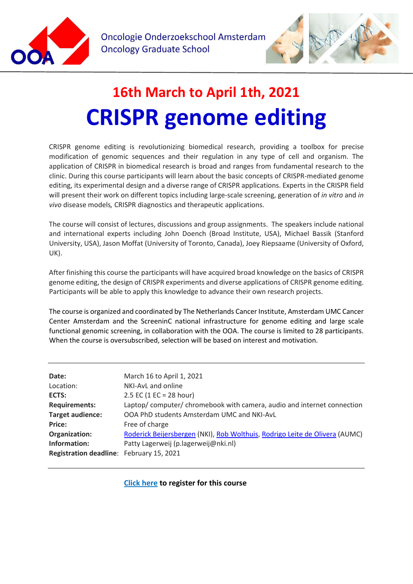

Oncologie Onderzoekschool Amsterdam **Oncology Graduate School** 



## **16th March to April 1th, 2021 CRISPR genome editing**

CRISPR genome editing is revolutionizing biomedical research, providing a toolbox for precise modification of genomic sequences and their regulation in any type of cell and organism. The application of CRISPR in biomedical research is broad and ranges from fundamental research to the clinic. During this course participants will learn about the basic concepts of CRISPR-mediated genome editing, its experimental design and a diverse range of CRISPR applications. Experts in the CRISPR field will present their work on different topics including large-scale screening, generation of *in vitro* and *in vivo* disease models*,* CRISPR diagnostics and therapeutic applications.

The course will consist of lectures, discussions and group assignments. The speakers include national and international experts including John Doench (Broad Institute, USA), Michael Bassik (Stanford University, USA), Jason Moffat (University of Toronto, Canada), Joey Riepsaame (University of Oxford, UK).

After finishing this course the participants will have acquired broad knowledge on the basics of CRISPR genome editing, the design of CRISPR experiments and diverse applications of CRISPR genome editing. Participants will be able to apply this knowledge to advance their own research projects.

The course is organized and coordinated by The Netherlands Cancer Institute, Amsterdam UMC Cancer Center Amsterdam and the ScreeninC national infrastructure for genome editing and large scale functional genomic screening, in collaboration with the OOA. The course is limited to 28 participants. When the course is oversubscribed, selection will be based on interest and motivation.

| Date:                                    | March 16 to April 1, 2021                                                   |
|------------------------------------------|-----------------------------------------------------------------------------|
| Location:                                | NKI-AvL and online                                                          |
| ECTS:                                    | 2.5 EC (1 EC = 28 hour)                                                     |
| <b>Requirements:</b>                     | Laptop/computer/chromebook with camera, audio and internet connection       |
| <b>Target audience:</b>                  | OOA PhD students Amsterdam UMC and NKI-AvL                                  |
| <b>Price:</b>                            | Free of charge                                                              |
| Organization:                            | Roderick Beijersbergen (NKI), Rob Wolthuis, Rodrigo Leite de Olivera (AUMC) |
| Information:                             | Patty Lagerweij (p.lagerweij@nki.nl)                                        |
| Registration deadline: February 15, 2021 |                                                                             |
|                                          |                                                                             |

**[Click here](https://www.ooa-graduateschool.org/registration-form-crispr/) to register for this course**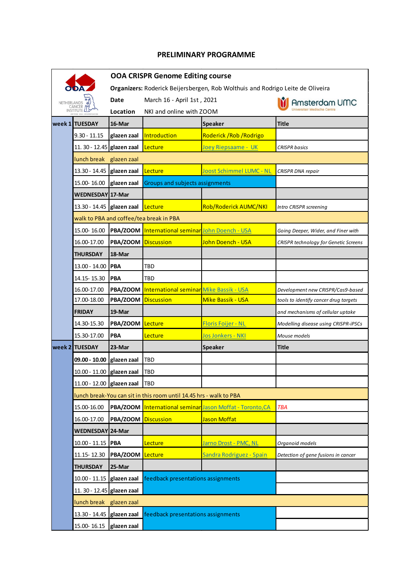## **PRELIMINARY PROGRAMME**

| NETHERLANDS<br>CANCER<br><b>INSTITUTE</b> |                            | <b>OOA CRISPR Genome Editing course</b>                                        |                                                                    |                                                           |                                              |  |  |  |
|-------------------------------------------|----------------------------|--------------------------------------------------------------------------------|--------------------------------------------------------------------|-----------------------------------------------------------|----------------------------------------------|--|--|--|
|                                           |                            | Organizers: Roderick Beijersbergen, Rob Wolthuis and Rodrigo Leite de Oliveira |                                                                    |                                                           |                                              |  |  |  |
|                                           |                            | Date                                                                           | March 16 - April 1st, 2021                                         |                                                           | Amsterdam UMC                                |  |  |  |
|                                           |                            | Location                                                                       | NKI and online with ZOOM                                           |                                                           |                                              |  |  |  |
|                                           | week 1 TUESDAY             | 16-Mar                                                                         |                                                                    | <b>Speaker</b>                                            | <b>Title</b>                                 |  |  |  |
|                                           | $9.30 - 11.15$             | glazen zaal                                                                    | <b>Introduction</b>                                                | Roderick / Rob / Rodrigo                                  |                                              |  |  |  |
|                                           | 11. 30 - 12.45 glazen zaal |                                                                                | Lecture                                                            | Joey Riepsaame - UK                                       | <b>CRISPR</b> basics                         |  |  |  |
|                                           | lunch break glazen zaal    |                                                                                |                                                                    |                                                           |                                              |  |  |  |
|                                           | 13.30 - 14.45              | glazen zaal                                                                    | Lecture                                                            | <u> Joost Schimmel LUMC - NL</u>                          | CRISPR DNA repair                            |  |  |  |
|                                           | 15.00-16.00                | glazen zaal                                                                    | <b>Groups and subjects assignments</b>                             |                                                           |                                              |  |  |  |
|                                           | WEDNESDAY 17-Mar           |                                                                                |                                                                    |                                                           |                                              |  |  |  |
|                                           | 13.30 - 14.45 glazen zaal  |                                                                                | Lecture                                                            | Rob/Roderick AUMC/NKI                                     | Intro CRISPR screening                       |  |  |  |
|                                           |                            | walk to PBA and coffee/tea break in PBA                                        |                                                                    |                                                           |                                              |  |  |  |
|                                           | 15.00-16.00                | PBA/ZOOM                                                                       | International seminar John Doench - USA                            |                                                           | Going Deeper, Wider, and Finer with          |  |  |  |
|                                           | 16.00-17.00                | PBA/ZOOM                                                                       | <b>Discussion</b>                                                  | John Doench - USA                                         | <b>CRISPR technology for Genetic Screens</b> |  |  |  |
|                                           | <b>THURSDAY</b>            | 18-Mar                                                                         |                                                                    |                                                           |                                              |  |  |  |
|                                           | 13.00 - 14.00              | <b>PBA</b>                                                                     | TBD                                                                |                                                           |                                              |  |  |  |
|                                           | 14.15-15.30                | <b>PBA</b>                                                                     | <b>TBD</b>                                                         |                                                           |                                              |  |  |  |
|                                           | 16.00-17.00                |                                                                                | PBA/ZOOM International seminar Mike Bassik - USA                   |                                                           | Development new CRISPR/Cas9-based            |  |  |  |
|                                           | 17.00-18.00                | PBA/ZOOM                                                                       | <b>Discussion</b>                                                  | <b>Mike Bassik - USA</b>                                  | tools to identify cancer drug targets        |  |  |  |
|                                           | <b>FRIDAY</b>              | 19-Mar                                                                         |                                                                    |                                                           | and mechanisms of cellular uptake            |  |  |  |
|                                           | 14.30-15.30                | PBA/ZOOM                                                                       | Lecture                                                            | <b>Floris Foijer - NL</b>                                 | Modelling disease using CRISPR-iPSCs         |  |  |  |
|                                           | 15.30-17.00                | <b>PBA</b>                                                                     | Lecture                                                            | <u> Jos Jonkers - NKI</u>                                 | Mouse models                                 |  |  |  |
|                                           | week 2 TUESDAY             | 23-Mar                                                                         |                                                                    | <b>Speaker</b>                                            | <b>Title</b>                                 |  |  |  |
|                                           | $09.00 - 10.00$            | glazen zaal                                                                    | <b>TBD</b>                                                         |                                                           |                                              |  |  |  |
|                                           | $10.00 - 11.00$            | glazen zaal                                                                    | <b>TBD</b>                                                         |                                                           |                                              |  |  |  |
|                                           | 11.00 - 12.00 glazen zaal  |                                                                                | TBD                                                                |                                                           |                                              |  |  |  |
|                                           |                            |                                                                                | lunch break-You can sit in this room until 14.45 hrs - walk to PBA |                                                           |                                              |  |  |  |
|                                           | 15.00-16.00                |                                                                                |                                                                    | PBA/ZOOM International seminar Jason Moffat - Toronto, CA | <b>TBA</b>                                   |  |  |  |
|                                           | 16.00-17.00                | PBA/ZOOM                                                                       | <b>Discussion</b>                                                  | Jason Moffat                                              |                                              |  |  |  |
|                                           | WEDNESDAY 24-Mar           |                                                                                |                                                                    |                                                           |                                              |  |  |  |
|                                           | $10.00 - 11.15$            | PBA                                                                            | Lecture                                                            | Jarno Drost - PMC, NL                                     | Organoid models                              |  |  |  |
|                                           | 11.15-12.30                | PBA/ZOOM                                                                       | Lecture                                                            | Sandra Rodriguez - Spain                                  | Detection of gene fusions in cancer          |  |  |  |
|                                           | <b>THURSDAY</b>            | 25-Mar                                                                         |                                                                    |                                                           |                                              |  |  |  |
|                                           | $10.00 - 11.15$            | glazen zaal                                                                    | feedback presentations assignments                                 |                                                           |                                              |  |  |  |
|                                           | 11. 30 - 12.45 glazen zaal |                                                                                |                                                                    |                                                           |                                              |  |  |  |
|                                           | lunch break glazen zaal    |                                                                                |                                                                    |                                                           |                                              |  |  |  |
|                                           | 13.30 - 14.45              | glazen zaal                                                                    | feedback presentations assignments                                 |                                                           |                                              |  |  |  |
| 15.00-16.15                               |                            | glazen zaal                                                                    |                                                                    |                                                           |                                              |  |  |  |